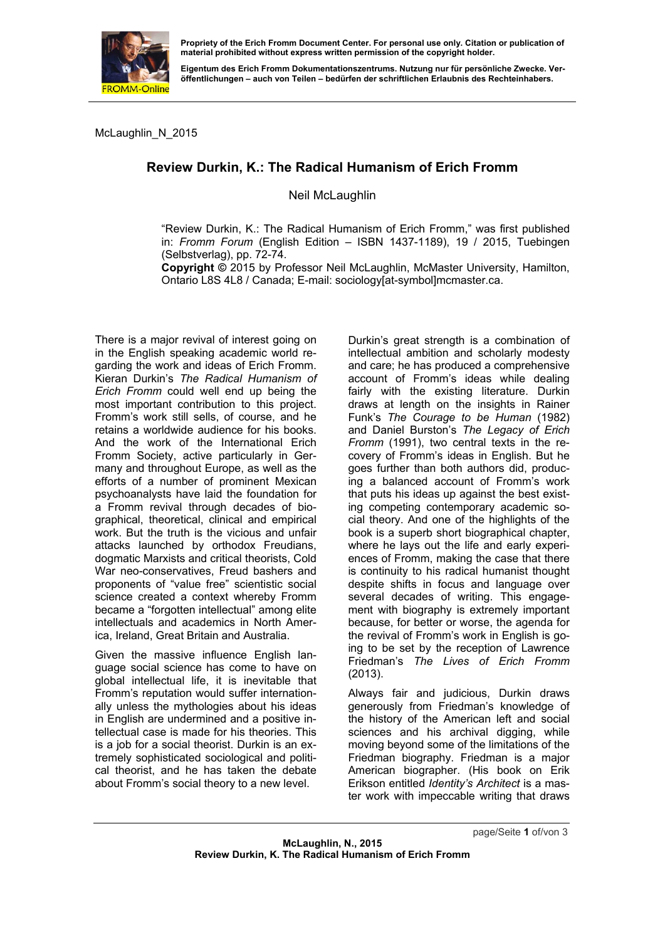

**Propriety of the Erich Fromm Document Center. For personal use only. Citation or publication of material prohibited without express written permission of the copyright holder.** 

**Eigentum des Erich Fromm Dokumentationszentrums. Nutzung nur für persönliche Zwecke. Veröffentlichungen – auch von Teilen – bedürfen der schriftlichen Erlaubnis des Rechteinhabers.** 

McLaughlin\_N\_2015

## **Review Durkin, K.: The Radical Humanism of Erich Fromm**

Neil McLaughlin

"Review Durkin, K.: The Radical Humanism of Erich Fromm," was first published in: *Fromm Forum* (English Edition – ISBN 1437-1189), 19 / 2015, Tuebingen (Selbstverlag), pp. 72-74.

**Copyright ©** 2015 by Professor Neil McLaughlin, McMaster University, Hamilton, Ontario L8S 4L8 / Canada; E-mail: sociology[at-symbol]mcmaster.ca.

There is a major revival of interest going on in the English speaking academic world regarding the work and ideas of Erich Fromm. Kieran Durkin's *The Radical Humanism of Erich Fromm* could well end up being the most important contribution to this project. Fromm's work still sells, of course, and he retains a worldwide audience for his books. And the work of the International Erich Fromm Society, active particularly in Germany and throughout Europe, as well as the efforts of a number of prominent Mexican psychoanalysts have laid the foundation for a Fromm revival through decades of biographical, theoretical, clinical and empirical work. But the truth is the vicious and unfair attacks launched by orthodox Freudians, dogmatic Marxists and critical theorists, Cold War neo-conservatives, Freud bashers and proponents of "value free" scientistic social science created a context whereby Fromm became a "forgotten intellectual" among elite intellectuals and academics in North America, Ireland, Great Britain and Australia.

Given the massive influence English language social science has come to have on global intellectual life, it is inevitable that Fromm's reputation would suffer internationally unless the mythologies about his ideas in English are undermined and a positive intellectual case is made for his theories. This is a job for a social theorist. Durkin is an extremely sophisticated sociological and political theorist, and he has taken the debate about Fromm's social theory to a new level.

Durkin's great strength is a combination of intellectual ambition and scholarly modesty and care; he has produced a comprehensive account of Fromm's ideas while dealing fairly with the existing literature. Durkin draws at length on the insights in Rainer Funk's *The Courage to be Human* (1982) and Daniel Burston's *The Legacy of Erich Fromm* (1991), two central texts in the recovery of Fromm's ideas in English. But he goes further than both authors did, producing a balanced account of Fromm's work that puts his ideas up against the best existing competing contemporary academic social theory. And one of the highlights of the book is a superb short biographical chapter, where he lays out the life and early experiences of Fromm, making the case that there is continuity to his radical humanist thought despite shifts in focus and language over several decades of writing. This engagement with biography is extremely important because, for better or worse, the agenda for the revival of Fromm's work in English is going to be set by the reception of Lawrence Friedman's *The Lives of Erich Fromm* (2013).

Always fair and judicious, Durkin draws generously from Friedman's knowledge of the history of the American left and social sciences and his archival digging, while moving beyond some of the limitations of the Friedman biography. Friedman is a major American biographer. (His book on Erik Erikson entitled *Identity's Architect* is a master work with impeccable writing that draws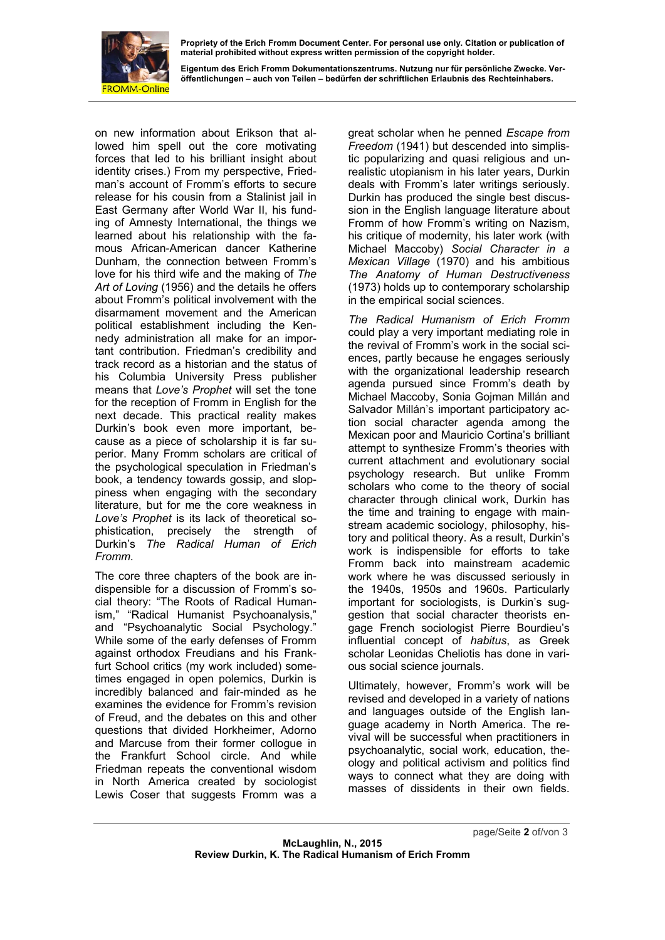

**Propriety of the Erich Fromm Document Center. For personal use only. Citation or publication of material prohibited without express written permission of the copyright holder.** 

**Eigentum des Erich Fromm Dokumentationszentrums. Nutzung nur für persönliche Zwecke. Veröffentlichungen – auch von Teilen – bedürfen der schriftlichen Erlaubnis des Rechteinhabers.** 

on new information about Erikson that allowed him spell out the core motivating forces that led to his brilliant insight about identity crises.) From my perspective, Friedman's account of Fromm's efforts to secure release for his cousin from a Stalinist jail in East Germany after World War II, his funding of Amnesty International, the things we learned about his relationship with the famous African-American dancer Katherine Dunham, the connection between Fromm's love for his third wife and the making of *The Art of Loving* (1956) and the details he offers about Fromm's political involvement with the disarmament movement and the American political establishment including the Kennedy administration all make for an important contribution. Friedman's credibility and track record as a historian and the status of his Columbia University Press publisher means that *Love's Prophet* will set the tone for the reception of Fromm in English for the next decade. This practical reality makes Durkin's book even more important, because as a piece of scholarship it is far superior. Many Fromm scholars are critical of the psychological speculation in Friedman's book, a tendency towards gossip, and sloppiness when engaging with the secondary literature, but for me the core weakness in *Love's Prophet* is its lack of theoretical sophistication, precisely the strength of Durkin's *The Radical Human of Erich Fromm*.

The core three chapters of the book are indispensible for a discussion of Fromm's social theory: "The Roots of Radical Humanism," "Radical Humanist Psychoanalysis," and "Psychoanalytic Social Psychology." While some of the early defenses of Fromm against orthodox Freudians and his Frankfurt School critics (my work included) sometimes engaged in open polemics, Durkin is incredibly balanced and fair-minded as he examines the evidence for Fromm's revision of Freud, and the debates on this and other questions that divided Horkheimer, Adorno and Marcuse from their former collogue in the Frankfurt School circle. And while Friedman repeats the conventional wisdom in North America created by sociologist Lewis Coser that suggests Fromm was a great scholar when he penned *Escape from Freedom* (1941) but descended into simplistic popularizing and quasi religious and unrealistic utopianism in his later years, Durkin deals with Fromm's later writings seriously. Durkin has produced the single best discussion in the English language literature about Fromm of how Fromm's writing on Nazism, his critique of modernity, his later work (with Michael Maccoby) *Social Character in a Mexican Village* (1970) and his ambitious *The Anatomy of Human Destructiveness* (1973) holds up to contemporary scholarship in the empirical social sciences.

*The Radical Humanism of Erich Fromm*  could play a very important mediating role in the revival of Fromm's work in the social sciences, partly because he engages seriously with the organizational leadership research agenda pursued since Fromm's death by Michael Maccoby, Sonia Gojman Millán and Salvador Millán's important participatory action social character agenda among the Mexican poor and Mauricio Cortina's brilliant attempt to synthesize Fromm's theories with current attachment and evolutionary social psychology research. But unlike Fromm scholars who come to the theory of social character through clinical work, Durkin has the time and training to engage with mainstream academic sociology, philosophy, history and political theory. As a result, Durkin's work is indispensible for efforts to take Fromm back into mainstream academic work where he was discussed seriously in the 1940s, 1950s and 1960s. Particularly important for sociologists, is Durkin's suggestion that social character theorists engage French sociologist Pierre Bourdieu's influential concept of *habitus*, as Greek scholar Leonidas Cheliotis has done in various social science journals.

Ultimately, however, Fromm's work will be revised and developed in a variety of nations and languages outside of the English language academy in North America. The revival will be successful when practitioners in psychoanalytic, social work, education, theology and political activism and politics find ways to connect what they are doing with masses of dissidents in their own fields.